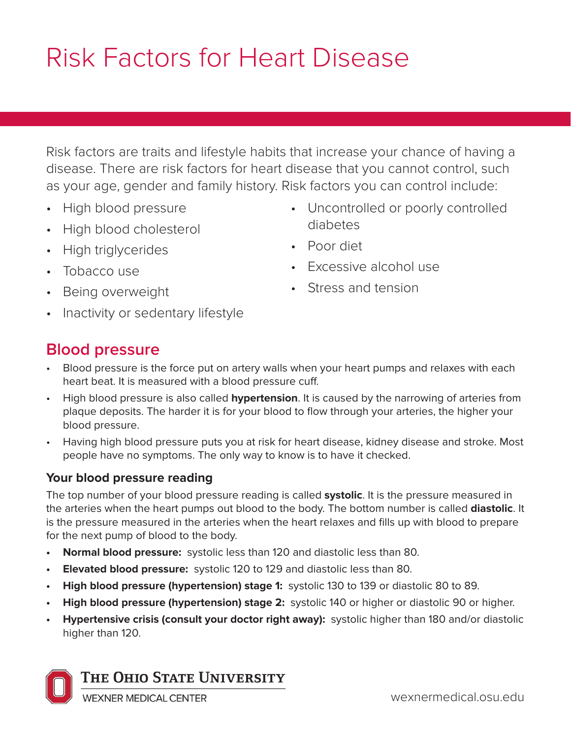# Risk Factors for Heart Disease

Risk factors are traits and lifestyle habits that increase your chance of having a disease. There are risk factors for heart disease that you cannot control, such as your age, gender and family history. Risk factors you can control include:

- High blood pressure
- High blood cholesterol
- High triglycerides
- Tobacco use
- Being overweight
- Inactivity or sedentary lifestyle
- Uncontrolled or poorly controlled diabetes
- Poor diet
- Excessive alcohol use
- Stress and tension

## **Blood pressure**

- Blood pressure is the force put on artery walls when your heart pumps and relaxes with each heart beat. It is measured with a blood pressure cuff.
- High blood pressure is also called **hypertension**. It is caused by the narrowing of arteries from plaque deposits. The harder it is for your blood to flow through your arteries, the higher your blood pressure.
- Having high blood pressure puts you at risk for heart disease, kidney disease and stroke. Most people have no symptoms. The only way to know is to have it checked.

#### **Your blood pressure reading**

The top number of your blood pressure reading is called **systolic**. It is the pressure measured in the arteries when the heart pumps out blood to the body. The bottom number is called **diastolic**. It is the pressure measured in the arteries when the heart relaxes and fills up with blood to prepare for the next pump of blood to the body.

- **• Normal blood pressure:** systolic less than 120 and diastolic less than 80.
- **• Elevated blood pressure:** systolic 120 to 129 and diastolic less than 80.
- **• High blood pressure (hypertension) stage 1:** systolic 130 to 139 or diastolic 80 to 89.
- **• High blood pressure (hypertension) stage 2:** systolic 140 or higher or diastolic 90 or higher.
- **• Hypertensive crisis (consult your doctor right away):** systolic higher than 180 and/or diastolic higher than 120.



**WEXNER MEDICAL CENTER**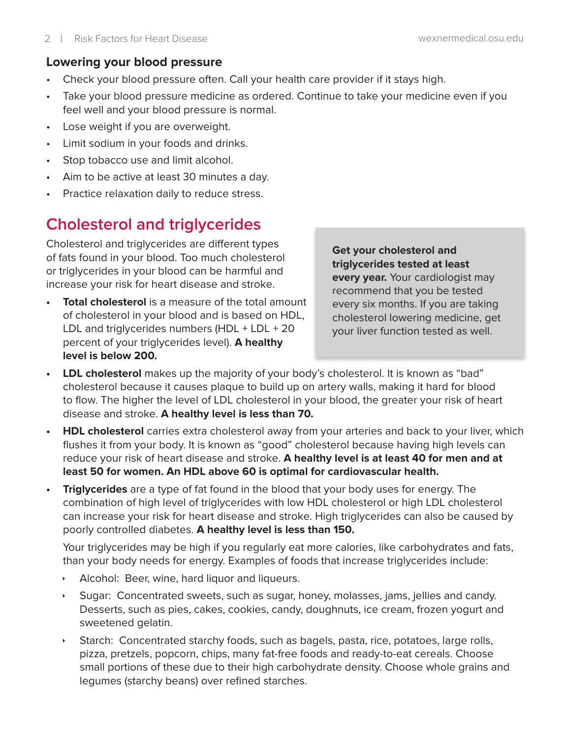#### **Lowering your blood pressure**

- Check your blood pressure often. Call your health care provider if it stays high.
- Take your blood pressure medicine as ordered. Continue to take your medicine even if you feel well and your blood pressure is normal.
- Lose weight if you are overweight.
- Limit sodium in your foods and drinks.
- Stop tobacco use and limit alcohol.
- Aim to be active at least 30 minutes a day.
- Practice relaxation daily to reduce stress.

# **Cholesterol and triglycerides**

Cholesterol and triglycerides are different types of fats found in your blood. Too much cholesterol or triglycerides in your blood can be harmful and increase your risk for heart disease and stroke.

**Total cholesterol** is a measure of the total amount of cholesterol in your blood and is based on HDL, LDL and triglycerides numbers (HDL + LDL + 20 percent of your triglycerides level). **A healthy level is below 200.** 

**Get your cholesterol and triglycerides tested at least every year.** Your cardiologist may recommend that you be tested every six months. If you are taking cholesterol lowering medicine, get your liver function tested as well.

- **• LDL cholesterol** makes up the majority of your body's cholesterol. It is known as "bad" cholesterol because it causes plaque to build up on artery walls, making it hard for blood to flow. The higher the level of LDL cholesterol in your blood, the greater your risk of heart disease and stroke. **A healthy level is less than 70.**
- **• HDL cholesterol** carries extra cholesterol away from your arteries and back to your liver, which flushes it from your body. It is known as "good" cholesterol because having high levels can reduce your risk of heart disease and stroke. **A healthy level is at least 40 for men and at least 50 for women. An HDL above 60 is optimal for cardiovascular health.**
- **• Triglycerides** are a type of fat found in the blood that your body uses for energy. The combination of high level of triglycerides with low HDL cholesterol or high LDL cholesterol can increase your risk for heart disease and stroke. High triglycerides can also be caused by poorly controlled diabetes. **A healthy level is less than 150.**

Your triglycerides may be high if you regularly eat more calories, like carbohydrates and fats, than your body needs for energy. Examples of foods that increase triglycerides include:

- $\cdot$  Alcohol: Beer, wine, hard liquor and liqueurs.
- Sugar: Concentrated sweets, such as sugar, honey, molasses, jams, jellies and candy. Desserts, such as pies, cakes, cookies, candy, doughnuts, ice cream, frozen yogurt and sweetened gelatin.
- Starch: Concentrated starchy foods, such as bagels, pasta, rice, potatoes, large rolls, pizza, pretzels, popcorn, chips, many fat-free foods and ready-to-eat cereals. Choose small portions of these due to their high carbohydrate density. Choose whole grains and legumes (starchy beans) over refined starches.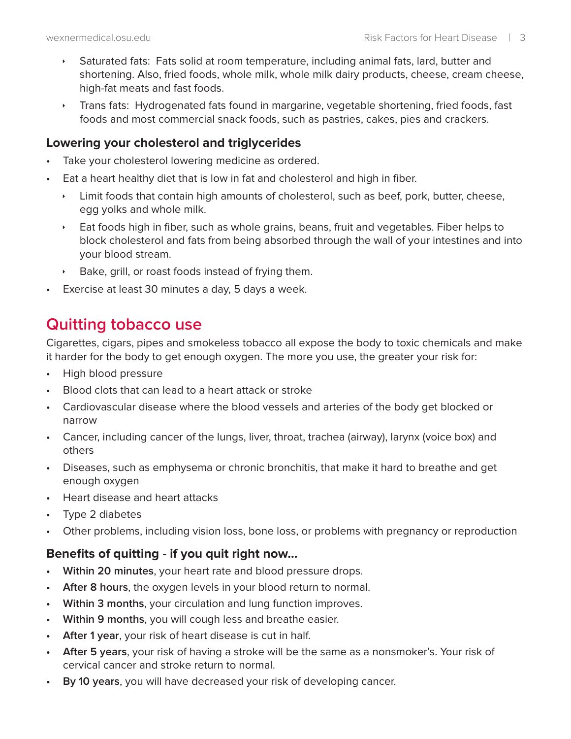- **Saturated fats: Fats solid at room temperature, including animal fats, lard, butter and** shortening. Also, fried foods, whole milk, whole milk dairy products, cheese, cream cheese, high-fat meats and fast foods.
- $\cdot$  Trans fats: Hydrogenated fats found in margarine, vegetable shortening, fried foods, fast foods and most commercial snack foods, such as pastries, cakes, pies and crackers.

#### **Lowering your cholesterol and triglycerides**

- Take your cholesterol lowering medicine as ordered.
- Eat a heart healthy diet that is low in fat and cholesterol and high in fiber.
	- $\cdot$  Limit foods that contain high amounts of cholesterol, such as beef, pork, butter, cheese, egg yolks and whole milk.
	- $\rightarrow$  Eat foods high in fiber, such as whole grains, beans, fruit and vegetables. Fiber helps to block cholesterol and fats from being absorbed through the wall of your intestines and into your blood stream.
	- $\rightarrow$  Bake, grill, or roast foods instead of frying them.
- Exercise at least 30 minutes a day, 5 days a week.

## **Quitting tobacco use**

Cigarettes, cigars, pipes and smokeless tobacco all expose the body to toxic chemicals and make it harder for the body to get enough oxygen. The more you use, the greater your risk for:

- High blood pressure
- Blood clots that can lead to a heart attack or stroke
- Cardiovascular disease where the blood vessels and arteries of the body get blocked or narrow
- Cancer, including cancer of the lungs, liver, throat, trachea (airway), larynx (voice box) and others
- Diseases, such as emphysema or chronic bronchitis, that make it hard to breathe and get enough oxygen
- Heart disease and heart attacks
- Type 2 diabetes
- Other problems, including vision loss, bone loss, or problems with pregnancy or reproduction

#### **Benefits of quitting - if you quit right now...**

- **• Within 20 minutes**, your heart rate and blood pressure drops.
- **• After 8 hours**, the oxygen levels in your blood return to normal.
- **• Within 3 months**, your circulation and lung function improves.
- **• Within 9 months**, you will cough less and breathe easier.
- **• After 1 year**, your risk of heart disease is cut in half.
- **• After 5 years**, your risk of having a stroke will be the same as a nonsmoker's. Your risk of cervical cancer and stroke return to normal.
- **• By 10 years**, you will have decreased your risk of developing cancer.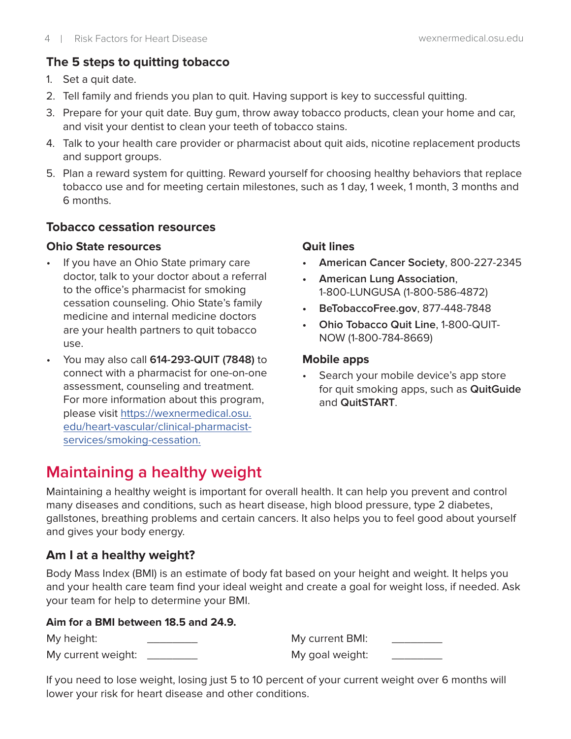#### **The 5 steps to quitting tobacco**

- 1. Set a quit date.
- 2. Tell family and friends you plan to quit. Having support is key to successful quitting.
- 3. Prepare for your quit date. Buy gum, throw away tobacco products, clean your home and car, and visit your dentist to clean your teeth of tobacco stains.
- 4. Talk to your health care provider or pharmacist about quit aids, nicotine replacement products and support groups.
- 5. Plan a reward system for quitting. Reward yourself for choosing healthy behaviors that replace tobacco use and for meeting certain milestones, such as 1 day, 1 week, 1 month, 3 months and 6 months.

#### **Tobacco cessation resources**

#### **Ohio State resources**

- If you have an Ohio State primary care doctor, talk to your doctor about a referral to the office's pharmacist for smoking cessation counseling. Ohio State's family medicine and internal medicine doctors are your health partners to quit tobacco use.
- You may also call **614-293-QUIT (7848)** to connect with a pharmacist for one-on-one assessment, counseling and treatment. For more information about this program, please visit https://wexnermedical.osu. edu/heart-vascular/clinical-pharmacistservices/smoking-cessation.

#### **Quit lines**

- **• American Cancer Society**, 800-227-2345
- **• American Lung Association**, 1-800-LUNGUSA (1-800-586-4872)
- **• BeTobaccoFree.gov**, 877-448-7848
- **• Ohio Tobacco Quit Line**, 1-800-QUIT-NOW (1-800-784-8669)

#### **Mobile apps**

Search your mobile device's app store for quit smoking apps, such as **QuitGuide** and **QuitSTART**.

# **Maintaining a healthy weight**

Maintaining a healthy weight is important for overall health. It can help you prevent and control many diseases and conditions, such as heart disease, high blood pressure, type 2 diabetes, gallstones, breathing problems and certain cancers. It also helps you to feel good about yourself and gives your body energy.

## **Am I at a healthy weight?**

Body Mass Index (BMI) is an estimate of body fat based on your height and weight. It helps you and your health care team find your ideal weight and create a goal for weight loss, if needed. Ask your team for help to determine your BMI.

#### **Aim for a BMI between 18.5 and 24.9.**

| My height:         | My current BMI: |  |
|--------------------|-----------------|--|
| My current weight: | My goal weight: |  |

If you need to lose weight, losing just 5 to 10 percent of your current weight over 6 months will lower your risk for heart disease and other conditions.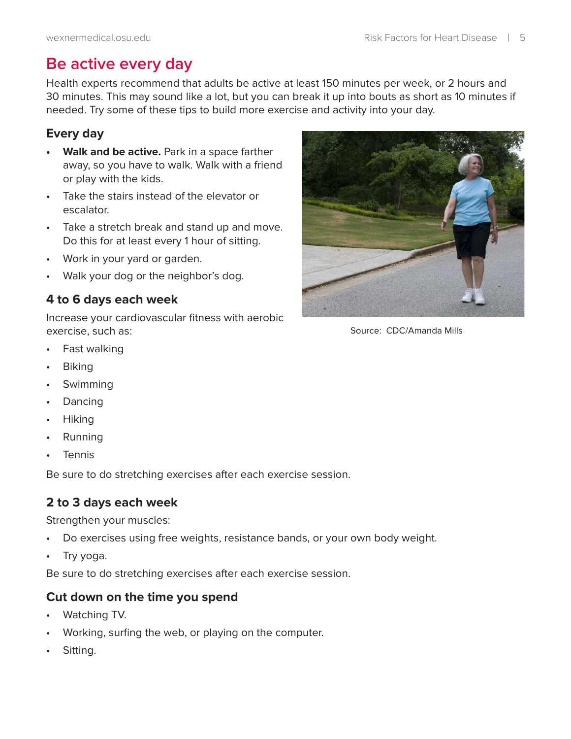## **Be active every day**

Health experts recommend that adults be active at least 150 minutes per week, or 2 hours and 30 minutes. This may sound like a lot, but you can break it up into bouts as short as 10 minutes if needed. Try some of these tips to build more exercise and activity into your day.

#### **Every day**

- **• Walk and be active.** Park in a space farther away, so you have to walk. Walk with a friend or play with the kids.
- Take the stairs instead of the elevator or escalator.
- Take a stretch break and stand up and move. Do this for at least every 1 hour of sitting.
- Work in your yard or garden.
- Walk your dog or the neighbor's dog.

## **4 to 6 days each week**

Increase your cardiovascular fitness with aerobic exercise, such as:

- Fast walking
- Biking
- **Swimming**
- **Dancing**
- Hiking
- Running
- **Tennis**

Be sure to do stretching exercises after each exercise session.

## **2 to 3 days each week**

Strengthen your muscles:

- Do exercises using free weights, resistance bands, or your own body weight.
- Try yoga.

Be sure to do stretching exercises after each exercise session.

#### **Cut down on the time you spend**

- Watching TV.
- Working, surfing the web, or playing on the computer.
- Sitting.



Source: CDC/Amanda Mills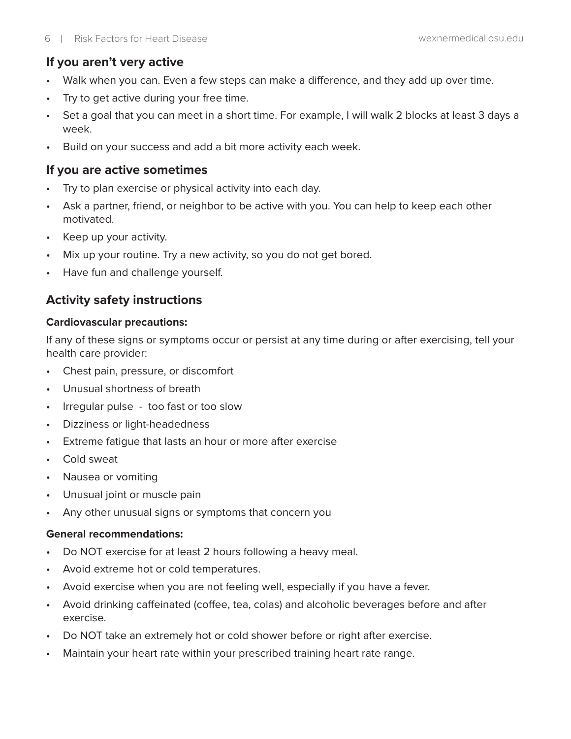#### **If you aren't very active**

- Walk when you can. Even a few steps can make a difference, and they add up over time.
- Try to get active during your free time.
- Set a goal that you can meet in a short time. For example, I will walk 2 blocks at least 3 days a week.
- Build on your success and add a bit more activity each week.

#### **If you are active sometimes**

- Try to plan exercise or physical activity into each day.
- Ask a partner, friend, or neighbor to be active with you. You can help to keep each other motivated.
- Keep up your activity.
- Mix up your routine. Try a new activity, so you do not get bored.
- Have fun and challenge yourself.

## **Activity safety instructions**

#### **Cardiovascular precautions:**

If any of these signs or symptoms occur or persist at any time during or after exercising, tell your health care provider:

- Chest pain, pressure, or discomfort
- Unusual shortness of breath
- Irregular pulse too fast or too slow
- Dizziness or light-headedness
- Extreme fatigue that lasts an hour or more after exercise
- Cold sweat
- Nausea or vomiting
- Unusual joint or muscle pain
- Any other unusual signs or symptoms that concern you

#### **General recommendations:**

- Do NOT exercise for at least 2 hours following a heavy meal.
- Avoid extreme hot or cold temperatures.
- Avoid exercise when you are not feeling well, especially if you have a fever.
- Avoid drinking caffeinated (coffee, tea, colas) and alcoholic beverages before and after exercise.
- Do NOT take an extremely hot or cold shower before or right after exercise.
- Maintain your heart rate within your prescribed training heart rate range.